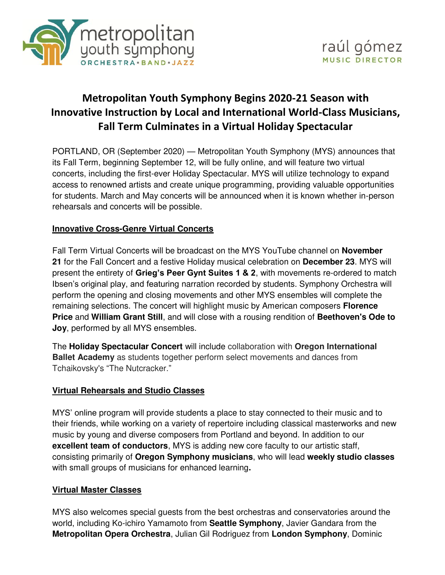

# **Metropolitan Youth Symphony Begins 2020-21 Season with Innovative Instruction by Local and International World-Class Musicians, Fall Term Culminates in a Virtual Holiday Spectacular**

PORTLAND, OR (September 2020) — Metropolitan Youth Symphony (MYS) announces that its Fall Term, beginning September 12, will be fully online, and will feature two virtual concerts, including the first-ever Holiday Spectacular. MYS will utilize technology to expand access to renowned artists and create unique programming, providing valuable opportunities for students. March and May concerts will be announced when it is known whether in-person rehearsals and concerts will be possible.

## **Innovative Cross-Genre Virtual Concerts**

Fall Term Virtual Concerts will be broadcast on the MYS YouTube channel on **November 21** for the Fall Concert and a festive Holiday musical celebration on **December 23**. MYS will present the entirety of **Grieg's Peer Gynt Suites 1 & 2**, with movements re-ordered to match Ibsen's original play, and featuring narration recorded by students. Symphony Orchestra will perform the opening and closing movements and other MYS ensembles will complete the remaining selections. The concert will highlight music by American composers **Florence Price** and **William Grant Still**, and will close with a rousing rendition of **Beethoven's Ode to Joy**, performed by all MYS ensembles.

The **Holiday Spectacular Concert** will include collaboration with **Oregon International Ballet Academy** as students together perform select movements and dances from Tchaikovsky's "The Nutcracker."

### **Virtual Rehearsals and Studio Classes**

MYS' online program will provide students a place to stay connected to their music and to their friends, while working on a variety of repertoire including classical masterworks and new music by young and diverse composers from Portland and beyond. In addition to our **excellent team of conductors**, MYS is adding new core faculty to our artistic staff, consisting primarily of **Oregon Symphony musicians**, who will lead **weekly studio classes** with small groups of musicians for enhanced learning**.**

### **Virtual Master Classes**

MYS also welcomes special guests from the best orchestras and conservatories around the world, including Ko-ichiro Yamamoto from **Seattle Symphony**, Javier Gandara from the **Metropolitan Opera Orchestra**, Julian Gil Rodriguez from **London Symphony**, Dominic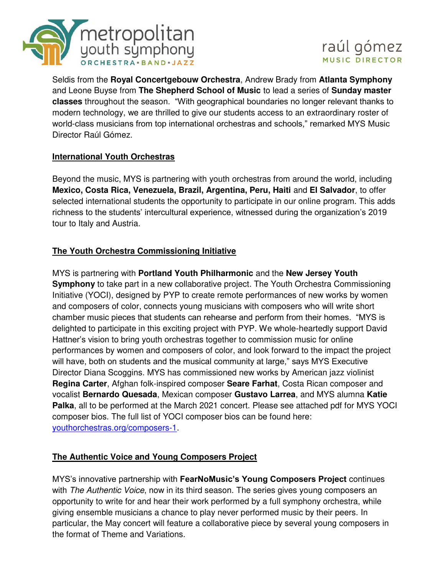



Seldis from the **Royal Concertgebouw Orchestra**, Andrew Brady from **Atlanta Symphony** and Leone Buyse from **The Shepherd School of Music** to lead a series of **Sunday master classes** throughout the season. "With geographical boundaries no longer relevant thanks to modern technology, we are thrilled to give our students access to an extraordinary roster of world-class musicians from top international orchestras and schools," remarked MYS Music Director Raúl Gómez.

## **International Youth Orchestras**

Beyond the music, MYS is partnering with youth orchestras from around the world, including **Mexico, Costa Rica, Venezuela, Brazil, Argentina, Peru, Haiti** and **El Salvador**, to offer selected international students the opportunity to participate in our online program. This adds richness to the students' intercultural experience, witnessed during the organization's 2019 tour to Italy and Austria.

## **The Youth Orchestra Commissioning Initiative**

MYS is partnering with **Portland Youth Philharmonic** and the **New Jersey Youth Symphony** to take part in a new collaborative project. The Youth Orchestra Commissioning Initiative (YOCI), designed by PYP to create remote performances of new works by women and composers of color, connects young musicians with composers who will write short chamber music pieces that students can rehearse and perform from their homes. "MYS is delighted to participate in this exciting project with PYP. We whole-heartedly support David Hattner's vision to bring youth orchestras together to commission music for online performances by women and composers of color, and look forward to the impact the project will have, both on students and the musical community at large," says MYS Executive Director Diana Scoggins. MYS has commissioned new works by American jazz violinist **Regina Carter**, Afghan folk-inspired composer **Seare Farhat**, Costa Rican composer and vocalist **Bernardo Quesada**, Mexican composer **Gustavo Larrea**, and MYS alumna **Katie Palka**, all to be performed at the March 2021 concert. Please see attached pdf for MYS YOCI composer bios. The full list of YOCI composer bios can be found here: [youthorchestras.org/composers-1.](https://youthorchestras.org/composers-1)

### **The Authentic Voice and Young Composers Project**

MYS's innovative partnership with **FearNoMusic's Young Composers Project** continues with *The Authentic Voice*, now in its third season. The series gives young composers an opportunity to write for and hear their work performed by a full symphony orchestra, while giving ensemble musicians a chance to play never performed music by their peers. In particular, the May concert will feature a collaborative piece by several young composers in the format of Theme and Variations.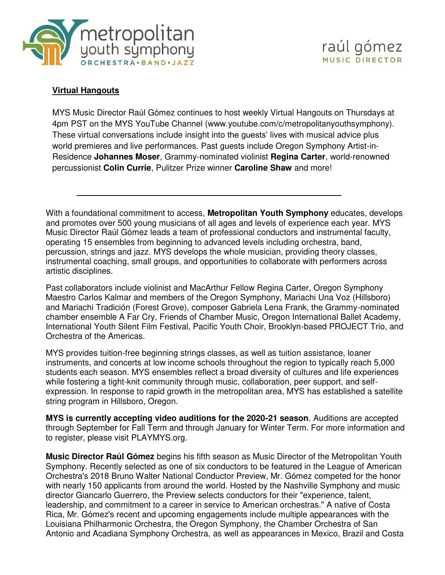



#### **Virtual Hangouts**

MYS Music Director Raúl Gómez continues to host weekly Virtual Hangouts on Thursdays at 4pm PST on the MYS YouTube Channel (www.youtube.com/c/metropolitanyouthsymphony). These virtual conversations include insight into the guests' lives with musical advice plus world premieres and live performances. Past guests include Oregon Symphony Artist-in-Residence **Johannes Moser**, Grammy-nominated violinist **Regina Carter**, world-renowned percussionist **Colin Currie**, Pulitzer Prize winner **Caroline Shaw** and more!

With a foundational commitment to access, **Metropolitan Youth Symphony** educates, develops and promotes over 500 young musicians of all ages and levels of experience each year. MYS Music Director Raúl Gómez leads a team of professional conductors and instrumental faculty, operating 15 ensembles from beginning to advanced levels including orchestra, band, percussion, strings and jazz. MYS develops the whole musician, providing theory classes, instrumental coaching, small groups, and opportunities to collaborate with performers across artistic disciplines.

Past collaborators include violinist and MacArthur Fellow Regina Carter, Oregon Symphony Maestro Carlos Kalmar and members of the Oregon Symphony, Mariachi Una Voz (Hillsboro) and Mariachi Tradición (Forest Grove), composer Gabriela Lena Frank, the Grammy-nominated chamber ensemble A Far Cry, Friends of Chamber Music, Oregon International Ballet Academy, International Youth Silent Film Festival, Pacific Youth Choir, Brooklyn-based PROJECT Trio, and Orchestra of the Americas.

MYS provides tuition-free beginning strings classes, as well as tuition assistance, loaner instruments, and concerts at low income schools throughout the region to typically reach 5,000 students each season. MYS ensembles reflect a broad diversity of cultures and life experiences while fostering a tight-knit community through music, collaboration, peer support, and selfexpression. In response to rapid growth in the metropolitan area, MYS has established a satellite string program in Hillsboro, Oregon.

**MYS is currently accepting video auditions for the 2020-21 season**. Auditions are accepted through September for Fall Term and through January for Winter Term. For more information and to register, please visit PLAYMYS.org.

**Music Director Raúl Gómez** begins his fifth season as Music Director of the Metropolitan Youth Symphony. Recently selected as one of six conductors to be featured in the League of American Orchestra's 2018 Bruno Walter National Conductor Preview, Mr. Gómez competed for the honor with nearly 150 applicants from around the world. Hosted by the Nashville Symphony and music director Giancarlo Guerrero, the Preview selects conductors for their "experience, talent, leadership, and commitment to a career in service to American orchestras." A native of Costa Rica, Mr. Gómez's recent and upcoming engagements include multiple appearances with the Louisiana Philharmonic Orchestra, the Oregon Symphony, the Chamber Orchestra of San Antonio and Acadiana Symphony Orchestra, as well as appearances in Mexico, Brazil and Costa